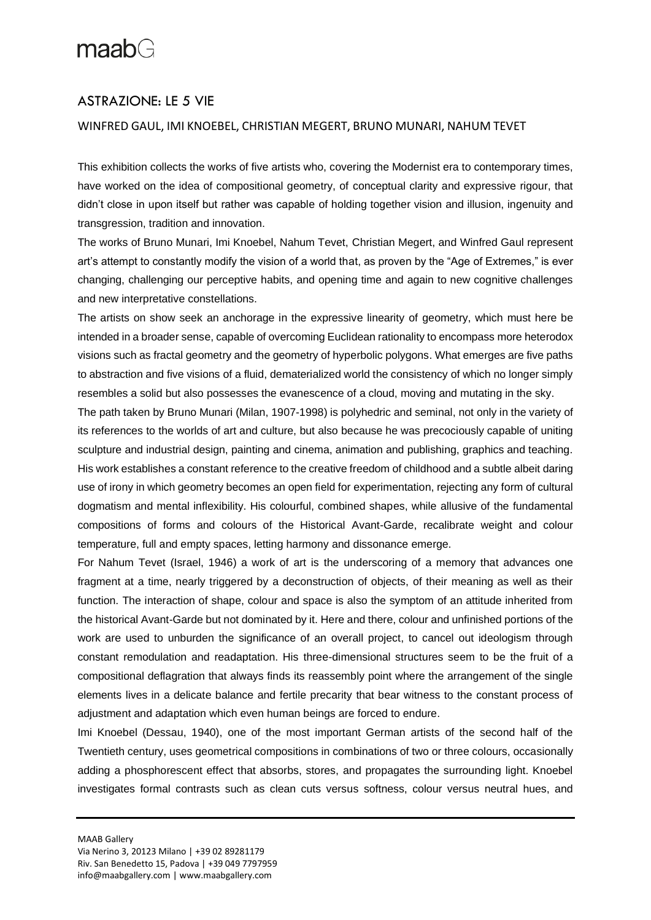# $maabG$

### ASTRAZIONE: LE 5 VIE

### WINFRED GAUL, IMI KNOEBEL, CHRISTIAN MEGERT, BRUNO MUNARI, NAHUM TEVET

This exhibition collects the works of five artists who, covering the Modernist era to contemporary times, have worked on the idea of compositional geometry, of conceptual clarity and expressive rigour, that didn't close in upon itself but rather was capable of holding together vision and illusion, ingenuity and transgression, tradition and innovation.

The works of Bruno Munari, Imi Knoebel, Nahum Tevet, Christian Megert, and Winfred Gaul represent art's attempt to constantly modify the vision of a world that, as proven by the "Age of Extremes," is ever changing, challenging our perceptive habits, and opening time and again to new cognitive challenges and new interpretative constellations.

The artists on show seek an anchorage in the expressive linearity of geometry, which must here be intended in a broader sense, capable of overcoming Euclidean rationality to encompass more heterodox visions such as fractal geometry and the geometry of hyperbolic polygons. What emerges are five paths to abstraction and five visions of a fluid, dematerialized world the consistency of which no longer simply resembles a solid but also possesses the evanescence of a cloud, moving and mutating in the sky.

The path taken by Bruno Munari (Milan, 1907-1998) is polyhedric and seminal, not only in the variety of its references to the worlds of art and culture, but also because he was precociously capable of uniting sculpture and industrial design, painting and cinema, animation and publishing, graphics and teaching. His work establishes a constant reference to the creative freedom of childhood and a subtle albeit daring use of irony in which geometry becomes an open field for experimentation, rejecting any form of cultural dogmatism and mental inflexibility. His colourful, combined shapes, while allusive of the fundamental compositions of forms and colours of the Historical Avant-Garde, recalibrate weight and colour temperature, full and empty spaces, letting harmony and dissonance emerge.

For Nahum Tevet (Israel, 1946) a work of art is the underscoring of a memory that advances one fragment at a time, nearly triggered by a deconstruction of objects, of their meaning as well as their function. The interaction of shape, colour and space is also the symptom of an attitude inherited from the historical Avant-Garde but not dominated by it. Here and there, colour and unfinished portions of the work are used to unburden the significance of an overall project, to cancel out ideologism through constant remodulation and readaptation. His three-dimensional structures seem to be the fruit of a compositional deflagration that always finds its reassembly point where the arrangement of the single elements lives in a delicate balance and fertile precarity that bear witness to the constant process of adjustment and adaptation which even human beings are forced to endure.

Imi Knoebel (Dessau, 1940), one of the most important German artists of the second half of the Twentieth century, uses geometrical compositions in combinations of two or three colours, occasionally adding a phosphorescent effect that absorbs, stores, and propagates the surrounding light. Knoebel investigates formal contrasts such as clean cuts versus softness, colour versus neutral hues, and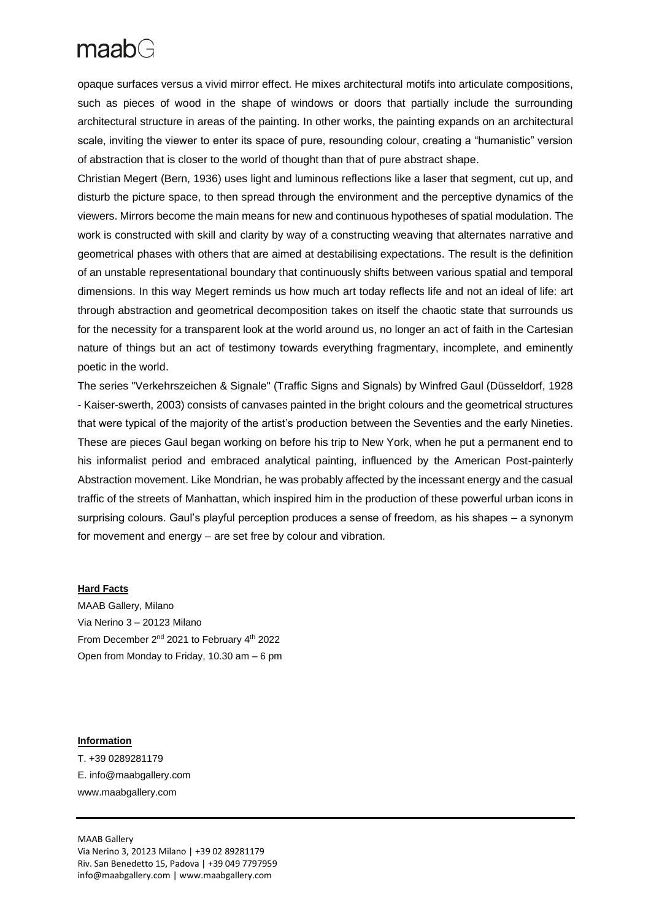## $maabG$

opaque surfaces versus a vivid mirror effect. He mixes architectural motifs into articulate compositions, such as pieces of wood in the shape of windows or doors that partially include the surrounding architectural structure in areas of the painting. In other works, the painting expands on an architectural scale, inviting the viewer to enter its space of pure, resounding colour, creating a "humanistic" version of abstraction that is closer to the world of thought than that of pure abstract shape.

Christian Megert (Bern, 1936) uses light and luminous reflections like a laser that segment, cut up, and disturb the picture space, to then spread through the environment and the perceptive dynamics of the viewers. Mirrors become the main means for new and continuous hypotheses of spatial modulation. The work is constructed with skill and clarity by way of a constructing weaving that alternates narrative and geometrical phases with others that are aimed at destabilising expectations. The result is the definition of an unstable representational boundary that continuously shifts between various spatial and temporal dimensions. In this way Megert reminds us how much art today reflects life and not an ideal of life: art through abstraction and geometrical decomposition takes on itself the chaotic state that surrounds us for the necessity for a transparent look at the world around us, no longer an act of faith in the Cartesian nature of things but an act of testimony towards everything fragmentary, incomplete, and eminently poetic in the world.

The series "Verkehrszeichen & Signale" (Traffic Signs and Signals) by Winfred Gaul (Düsseldorf, 1928 - Kaiser-swerth, 2003) consists of canvases painted in the bright colours and the geometrical structures that were typical of the majority of the artist's production between the Seventies and the early Nineties. These are pieces Gaul began working on before his trip to New York, when he put a permanent end to his informalist period and embraced analytical painting, influenced by the American Post-painterly Abstraction movement. Like Mondrian, he was probably affected by the incessant energy and the casual traffic of the streets of Manhattan, which inspired him in the production of these powerful urban icons in surprising colours. Gaul's playful perception produces a sense of freedom, as his shapes – a synonym for movement and energy – are set free by colour and vibration.

#### **Hard Facts**

MAAB Gallery, Milano Via Nerino 3 – 20123 Milano From December 2nd 2021 to February 4th 2022 Open from Monday to Friday, 10.30 am – 6 pm

#### **Information**

T. +39 0289281179 E. [info@maabgallery.com](mailto:segreteria@artemaab.com) [www.maabgallery.com](http://www.maabgallery.com/)

MAAB Gallery Via Nerino 3, 20123 Milano | +39 02 89281179 Riv. San Benedetto 15, Padova | +39 049 7797959 [info@maabgallery.com](mailto:info@maabgallery.com) | www.maabgallery.com